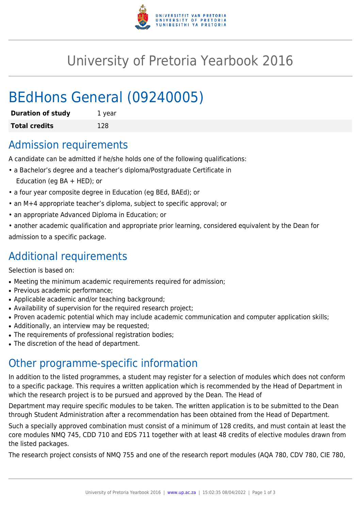

# University of Pretoria Yearbook 2016

# BEdHons General (09240005)

| <b>Duration of study</b> | 1 year |
|--------------------------|--------|
| <b>Total credits</b>     | 128    |

### Admission requirements

A candidate can be admitted if he/she holds one of the following qualifications:

- a Bachelor's degree and a teacher's diploma/Postgraduate Certificate in Education (eg BA + HED); or
- a four year composite degree in Education (eg BEd, BAEd); or
- an M+4 appropriate teacher's diploma, subject to specific approval; or
- an appropriate Advanced Diploma in Education; or
- another academic qualification and appropriate prior learning, considered equivalent by the Dean for admission to a specific package.

### Additional requirements

Selection is based on:

- Meeting the minimum academic requirements required for admission;
- Previous academic performance:
- Applicable academic and/or teaching background;
- Availability of supervision for the required research project;
- Proven academic potential which may include academic communication and computer application skills;
- Additionally, an interview may be requested;
- The requirements of professional registration bodies;
- The discretion of the head of department.

## Other programme-specific information

In addition to the listed programmes, a student may register for a selection of modules which does not conform to a specific package. This requires a written application which is recommended by the Head of Department in which the research project is to be pursued and approved by the Dean. The Head of

Department may require specific modules to be taken. The written application is to be submitted to the Dean through Student Administration after a recommendation has been obtained from the Head of Department.

Such a specially approved combination must consist of a minimum of 128 credits, and must contain at least the core modules NMQ 745, CDD 710 and EDS 711 together with at least 48 credits of elective modules drawn from the listed packages.

The research project consists of NMQ 755 and one of the research report modules (AQA 780, CDV 780, CIE 780,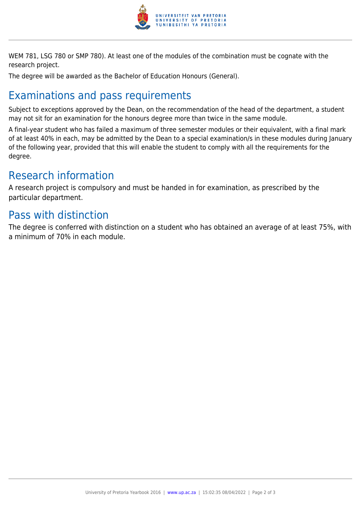

WEM 781, LSG 780 or SMP 780). At least one of the modules of the combination must be cognate with the research project.

The degree will be awarded as the Bachelor of Education Honours (General).

## Examinations and pass requirements

Subject to exceptions approved by the Dean, on the recommendation of the head of the department, a student may not sit for an examination for the honours degree more than twice in the same module.

A final-year student who has failed a maximum of three semester modules or their equivalent, with a final mark of at least 40% in each, may be admitted by the Dean to a special examination/s in these modules during January of the following year, provided that this will enable the student to comply with all the requirements for the degree.

### Research information

A research project is compulsory and must be handed in for examination, as prescribed by the particular department.

#### Pass with distinction

The degree is conferred with distinction on a student who has obtained an average of at least 75%, with a minimum of 70% in each module.